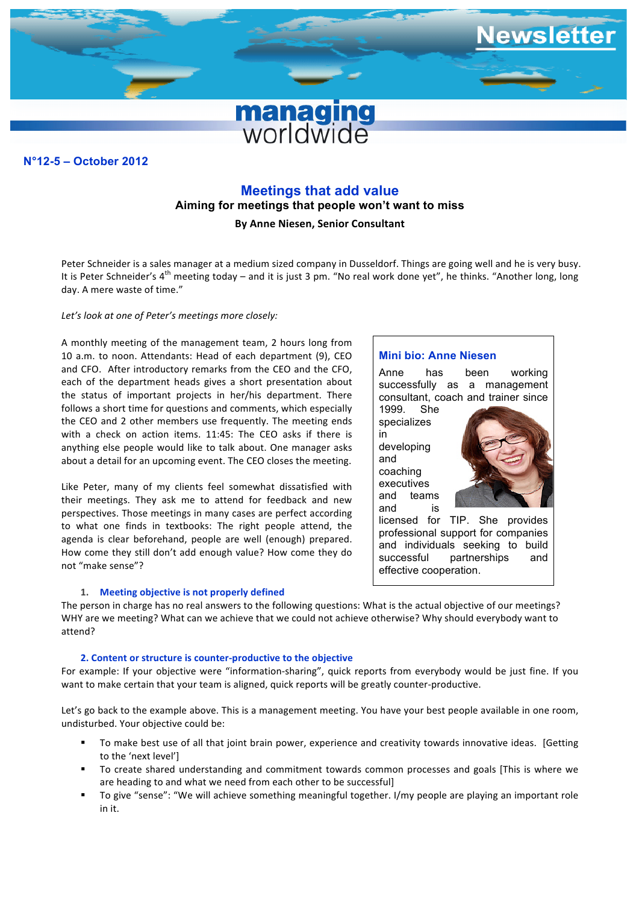

### **N°11-7 – December 2011 N°12-5 – October 2012**

# **Meetings that add value**

**Aiming for meetings that people won't want to miss**

**By Anne Niesen, Senior Consultant**

Peter Schneider is a sales manager at a medium sized company in Dusseldorf. Things are going well and he is very busy. It is Peter Schneider's  $4^{th}$  meeting today – and it is just 3 pm. "No real work done yet", he thinks. "Another long, long day. A mere waste of time."

### Let's look at one of Peter's meetings more closely:

A monthly meeting of the management team, 2 hours long from 10 a.m. to noon. Attendants: Head of each department (9), CEO and CFO. After introductory remarks from the CEO and the CFO, each of the department heads gives a short presentation about the status of important projects in her/his department. There follows a short time for questions and comments, which especially the CEO and 2 other members use frequently. The meeting ends with a check on action items. 11:45: The CEO asks if there is anything else people would like to talk about. One manager asks about a detail for an upcoming event. The CEO closes the meeting.

Like Peter, many of my clients feel somewhat dissatisfied with their meetings. They ask me to attend for feedback and new perspectives. Those meetings in many cases are perfect according to what one finds in textbooks: The right people attend, the agenda is clear beforehand, people are well (enough) prepared. How come they still don't add enough value? How come they do not "make sense"?

#### 1. Meeting objective is not properly defined

# **Mini bio: Anne Niesen**

Anne has been working successfully as a management consultant, coach and trainer since

1999. She specializes in developing and coaching executives and teams



licensed for TIP. She provides professional support for companies and individuals seeking to build successful partnerships and effective cooperation.

The person in charge has no real answers to the following questions: What is the actual objective of our meetings? WHY are we meeting? What can we achieve that we could not achieve otherwise? Why should everybody want to attend?

#### **2. Content or structure is counter-productive to the objective**

For example: If your objective were "information-sharing", quick reports from everybody would be just fine. If you want to make certain that your team is aligned, quick reports will be greatly counter-productive.

Let's go back to the example above. This is a management meeting. You have your best people available in one room, undisturbed. Your objective could be:

- To make best use of all that joint brain power, experience and creativity towards innovative ideas. [Getting to the 'next level']
- To create shared understanding and commitment towards common processes and goals [This is where we are heading to and what we need from each other to be successful]
- To give "sense": "We will achieve something meaningful together. I/my people are playing an important role in it.